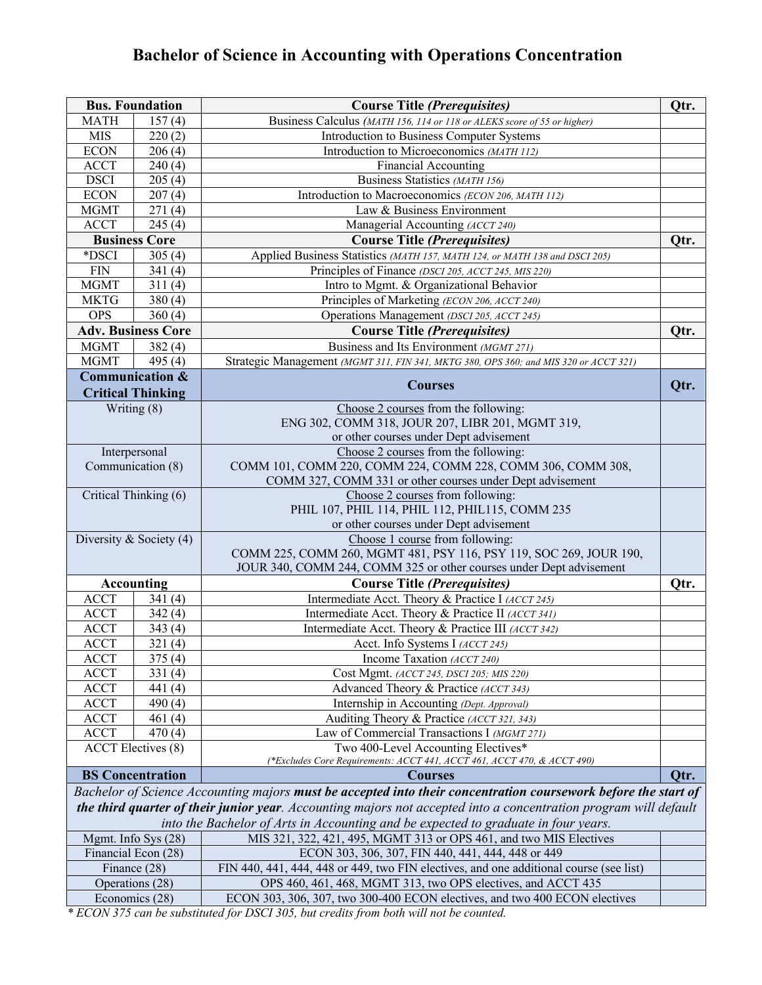# **Bachelor of Science in Accounting with Operations Concentration**

| <b>Bus. Foundation</b>    |                           | <b>Course Title (Prerequisites)</b>                                                                                   | Qtr. |
|---------------------------|---------------------------|-----------------------------------------------------------------------------------------------------------------------|------|
| <b>MATH</b>               | 157(4)                    | Business Calculus (MATH 156, 114 or 118 or ALEKS score of 55 or higher)                                               |      |
| <b>MIS</b>                | 220(2)                    | Introduction to Business Computer Systems                                                                             |      |
| <b>ECON</b>               | 206(4)                    | Introduction to Microeconomics (MATH 112)                                                                             |      |
| <b>ACCT</b>               | 240(4)                    | <b>Financial Accounting</b>                                                                                           |      |
| <b>DSCI</b>               | 205(4)                    | Business Statistics (MATH 156)                                                                                        |      |
| <b>ECON</b>               | 207(4)                    | Introduction to Macroeconomics (ECON 206, MATH 112)                                                                   |      |
| <b>MGMT</b>               | 271(4)                    | Law & Business Environment                                                                                            |      |
| <b>ACCT</b>               | 245(4)                    | Managerial Accounting (ACCT 240)                                                                                      |      |
|                           | <b>Business Core</b>      | <b>Course Title (Prerequisites)</b>                                                                                   | Qtr. |
| *DSCI                     | 305 $(4)$                 | Applied Business Statistics (MATH 157, MATH 124, or MATH 138 and DSCI 205)                                            |      |
| <b>FIN</b>                | 341(4)                    | Principles of Finance (DSCI 205, ACCT 245, MIS 220)                                                                   |      |
| <b>MGMT</b>               | 311(4)                    | Intro to Mgmt. & Organizational Behavior                                                                              |      |
| <b>MKTG</b>               | 380(4)                    | Principles of Marketing (ECON 206, ACCT 240)                                                                          |      |
| <b>OPS</b>                | 360(4)                    | Operations Management (DSCI 205, ACCT 245)                                                                            |      |
|                           | <b>Adv. Business Core</b> | <b>Course Title (Prerequisites)</b>                                                                                   | Qtr. |
| <b>MGMT</b>               | 382(4)                    | Business and Its Environment (MGMT 271)                                                                               |      |
| <b>MGMT</b>               | 495 (4)                   | Strategic Management (MGMT 311, FIN 341, MKTG 380, OPS 360; and MIS 320 or ACCT 321)                                  |      |
|                           | Communication &           |                                                                                                                       |      |
|                           | <b>Critical Thinking</b>  | <b>Courses</b>                                                                                                        | Qtr. |
|                           | Writing (8)               | Choose 2 courses from the following:                                                                                  |      |
|                           |                           | ENG 302, COMM 318, JOUR 207, LIBR 201, MGMT 319,                                                                      |      |
|                           |                           | or other courses under Dept advisement                                                                                |      |
|                           | Interpersonal             | Choose 2 courses from the following:                                                                                  |      |
|                           | Communication (8)         | COMM 101, COMM 220, COMM 224, COMM 228, COMM 306, COMM 308,                                                           |      |
|                           |                           | COMM 327, COMM 331 or other courses under Dept advisement                                                             |      |
|                           | Critical Thinking $(6)$   | Choose 2 courses from following:                                                                                      |      |
|                           |                           | PHIL 107, PHIL 114, PHIL 112, PHIL115, COMM 235                                                                       |      |
|                           |                           | or other courses under Dept advisement                                                                                |      |
| Diversity & Society $(4)$ |                           | Choose 1 course from following:                                                                                       |      |
|                           |                           | COMM 225, COMM 260, MGMT 481, PSY 116, PSY 119, SOC 269, JOUR 190,                                                    |      |
|                           |                           | JOUR 340, COMM 244, COMM 325 or other courses under Dept advisement                                                   |      |
|                           | <b>Accounting</b>         | <b>Course Title (Prerequisites)</b>                                                                                   | Qtr. |
| <b>ACCT</b>               | 341(4)                    | Intermediate Acct. Theory & Practice I (ACCT 245)                                                                     |      |
| <b>ACCT</b>               | 342(4)                    | Intermediate Acct. Theory & Practice II (ACCT 341)                                                                    |      |
| <b>ACCT</b>               | 343(4)                    | Intermediate Acct. Theory & Practice III (ACCT 342)                                                                   |      |
| <b>ACCT</b>               | 321(4)                    | Acct. Info Systems I (ACCT 245)                                                                                       |      |
| <b>ACCT</b>               | 375(4)                    | Income Taxation (ACCT 240)                                                                                            |      |
| <b>ACCT</b>               | 331(4)                    | Cost Mgmt. (ACCT 245, DSCI 205; MIS 220)                                                                              |      |
| <b>ACCT</b>               | 441 $(4)$                 | Advanced Theory & Practice (ACCT 343)                                                                                 |      |
| <b>ACCT</b>               | 490 $(4)$                 | Internship in Accounting (Dept. Approval)                                                                             |      |
| <b>ACCT</b>               | 461 $(4)$                 | Auditing Theory & Practice (ACCT 321, 343)                                                                            |      |
| <b>ACCT</b>               | 470(4)                    | Law of Commercial Transactions I (MGMT 271)                                                                           |      |
|                           | <b>ACCT</b> Electives (8) | Two 400-Level Accounting Electives*                                                                                   |      |
|                           |                           | (*Excludes Core Requirements: ACCT 441, ACCT 461, ACCT 470, & ACCT 490)                                               |      |
|                           | <b>BS</b> Concentration   | <b>Courses</b>                                                                                                        | Qtr. |
|                           |                           | Bachelor of Science Accounting majors <b>must be accepted into their concentration coursework before the start of</b> |      |
|                           |                           | the third quarter of their junior year. Accounting majors not accepted into a concentration program will default      |      |
|                           |                           | into the Bachelor of Arts in Accounting and be expected to graduate in four years.                                    |      |
|                           | Mgmt. Info Sys (28)       | MIS 321, 322, 421, 495, MGMT 313 or OPS 461, and two MIS Electives                                                    |      |
|                           | Financial Econ (28)       | ECON 303, 306, 307, FIN 440, 441, 444, 448 or 449                                                                     |      |
|                           | Finance (28)              | FIN 440, 441, 444, 448 or 449, two FIN electives, and one additional course (see list)                                |      |
|                           | Operations (28)           | OPS 460, 461, 468, MGMT 313, two OPS electives, and ACCT 435                                                          |      |
| Economics (28)            |                           | ECON 303, 306, 307, two 300-400 ECON electives, and two 400 ECON electives                                            |      |

*\* ECON 375 can be substituted for DSCI 305, but credits from both will not be counted.*